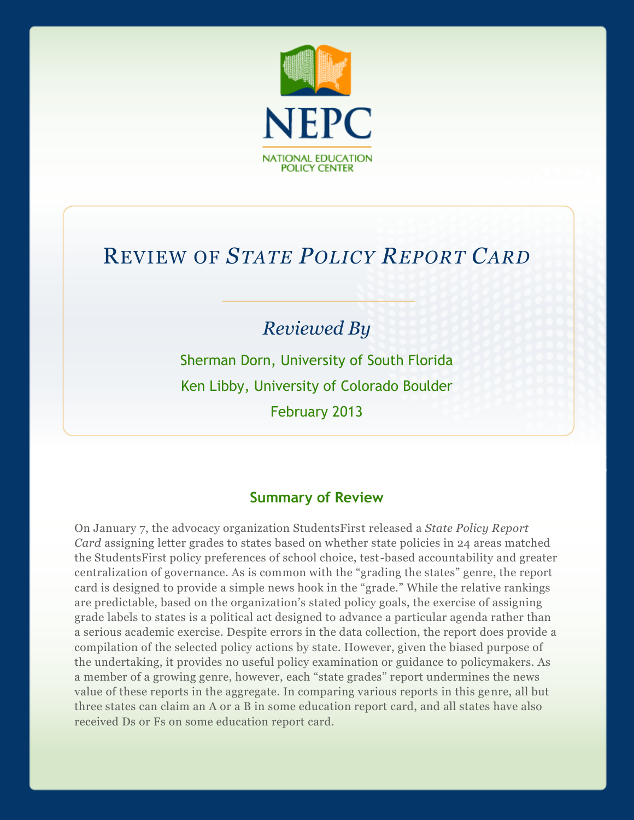

# REVIEW OF *STATE POLICY REPORT CARD*

# *Reviewed By*

Sherman Dorn, University of South Florida Ken Libby, University of Colorado Boulder February 2013

# **Summary of Review**

On January 7, the advocacy organization StudentsFirst released a *State Policy Report Card* assigning letter grades to states based on whether state policies in 24 areas matched the StudentsFirst policy preferences of school choice, test-based accountability and greater centralization of governance. As is common with the "grading the states" genre, the report card is designed to provide a simple news hook in the "grade." While the relative rankings are predictable, based on the organization's stated policy goals, the exercise of assigning grade labels to states is a political act designed to advance a particular agenda rather than a serious academic exercise. Despite errors in the data collection, the report does provide a compilation of the selected policy actions by state. However, given the biased purpose of the undertaking, it provides no useful policy examination or guidance to policymakers. As a member of a growing genre, however, each "state grades" report undermines the news value of these reports in the aggregate. In comparing various reports in this genre, all but three states can claim an A or a B in some education report card, and all states have also received Ds or Fs on some education report card.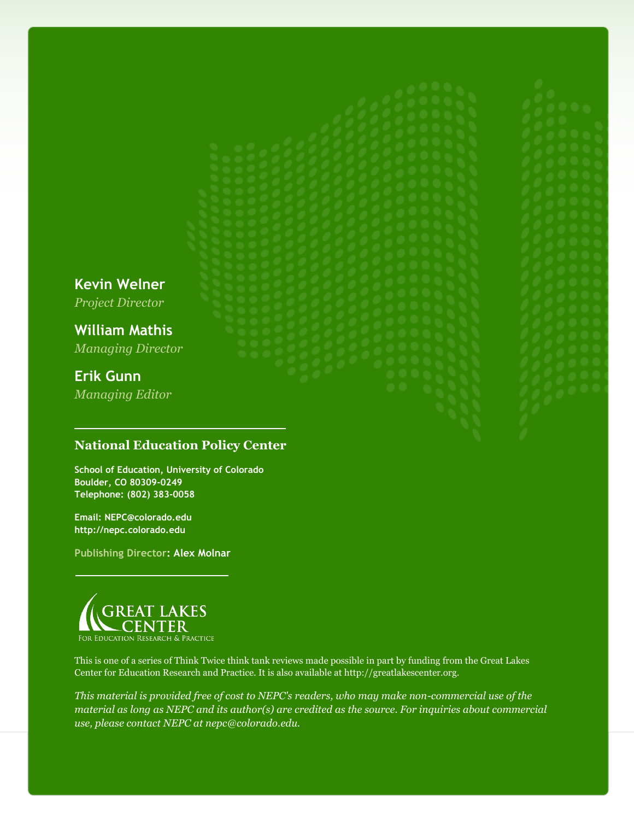**Kevin Welner**

*Project Director*

**William Mathis** *Managing Director*

# **Erik Gunn**

*Managing Editor*

# **National Education Policy Center**

**School of Education, University of Colorado Boulder, CO 80309-0249 Telephone: (802) 383-0058**

**Email: NEPC@colorado.edu http://nepc.colorado.edu**

**Publishing Director: Alex Molnar**



This is one of a series of Think Twice think tank reviews made possible in part by funding from the Great Lakes Center for Education Research and Practice. It is also available at http://greatlakescenter.org.

*This material is provided free of cost to NEPC's readers, who may make non-commercial use of the material as long as NEPC and its author(s) are credited as the source. For inquiries about commercial use, please contact NEPC at nepc@colorado.edu.*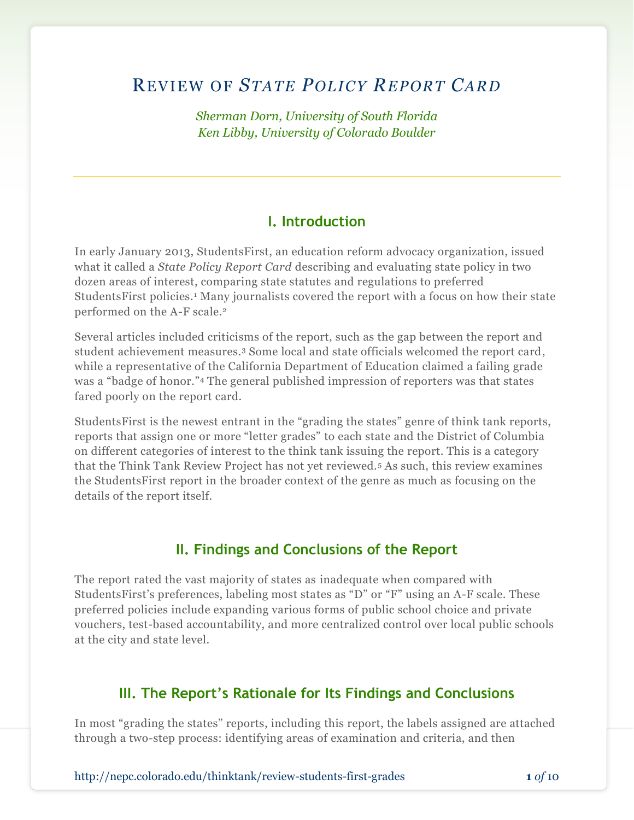# REVIEW OF *STATE POLICY REPORT CARD*

*Sherman Dorn, University of South Florida Ken Libby, University of Colorado Boulder*

## **I. Introduction**

In early January 2013, StudentsFirst, an education reform advocacy organization, issued what it called a *State Policy Report Card* describing and evaluating state policy in two dozen areas of interest, comparing state statutes and regulations to preferred StudentsFirst policies.<sup>1</sup> Many journalists covered the report with a focus on how their state performed on the A-F scale.<sup>2</sup>

Several articles included criticisms of the report, such as the gap between the report and student achievement measures.<sup>3</sup> Some local and state officials welcomed the report card, while a representative of the California Department of Education claimed a failing grade was a "badge of honor."<sup>4</sup> The general published impression of reporters was that states fared poorly on the report card.

StudentsFirst is the newest entrant in the "grading the states" genre of think tank reports, reports that assign one or more "letter grades" to each state and the District of Columbia on different categories of interest to the think tank issuing the report. This is a category that the Think Tank Review Project has not yet reviewed.<sup>5</sup> As such, this review examines the StudentsFirst report in the broader context of the genre as much as focusing on the details of the report itself.

## **II. Findings and Conclusions of the Report**

The report rated the vast majority of states as inadequate when compared with StudentsFirst's preferences, labeling most states as "D" or "F" using an A-F scale. These preferred policies include expanding various forms of public school choice and private vouchers, test-based accountability, and more centralized control over local public schools at the city and state level.

# **III. The Report's Rationale for Its Findings and Conclusions**

In most "grading the states" reports, including this report, the labels assigned are attached through a two-step process: identifying areas of examination and criteria, and then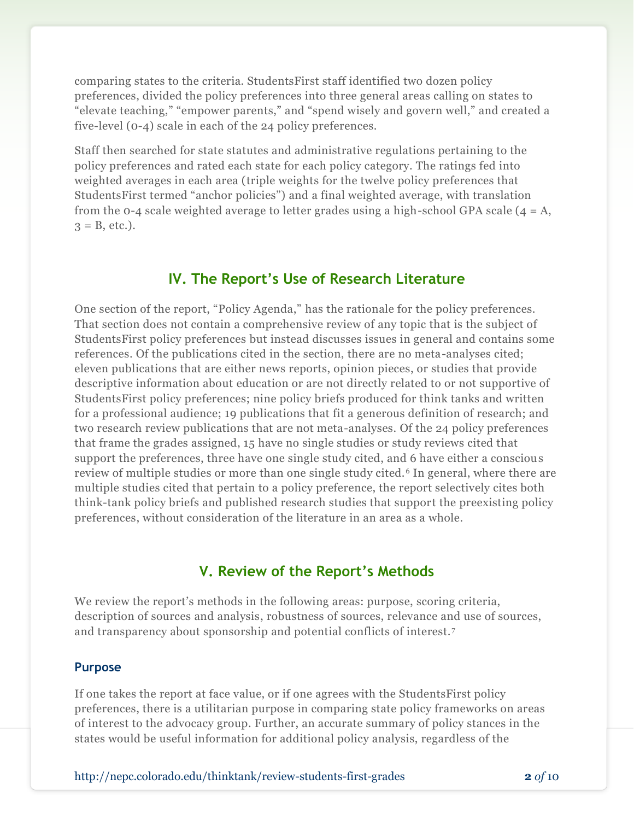comparing states to the criteria. StudentsFirst staff identified two dozen policy preferences, divided the policy preferences into three general areas calling on states to "elevate teaching," "empower parents," and "spend wisely and govern well," and created a five-level (0-4) scale in each of the 24 policy preferences.

Staff then searched for state statutes and administrative regulations pertaining to the policy preferences and rated each state for each policy category. The ratings fed into weighted averages in each area (triple weights for the twelve policy preferences that StudentsFirst termed "anchor policies") and a final weighted average, with translation from the 0-4 scale weighted average to letter grades using a high-school GPA scale  $(4 = A,$  $3 = B$ , etc.).

## **IV. The Report's Use of Research Literature**

One section of the report, "Policy Agenda," has the rationale for the policy preferences. That section does not contain a comprehensive review of any topic that is the subject of StudentsFirst policy preferences but instead discusses issues in general and contains some references. Of the publications cited in the section, there are no meta-analyses cited; eleven publications that are either news reports, opinion pieces, or studies that provide descriptive information about education or are not directly related to or not supportive of StudentsFirst policy preferences; nine policy briefs produced for think tanks and written for a professional audience; 19 publications that fit a generous definition of research; and two research review publications that are not meta-analyses. Of the 24 policy preferences that frame the grades assigned, 15 have no single studies or study reviews cited that support the preferences, three have one single study cited, and 6 have either a conscious review of multiple studies or more than one single study cited.<sup>6</sup> In general, where there are multiple studies cited that pertain to a policy preference, the report selectively cites both think-tank policy briefs and published research studies that support the preexisting policy preferences, without consideration of the literature in an area as a whole.

## **V. Review of the Report's Methods**

We review the report's methods in the following areas: purpose, scoring criteria, description of sources and analysis, robustness of sources, relevance and use of sources, and transparency about sponsorship and potential conflicts of interest. <sup>7</sup>

#### **Purpose**

If one takes the report at face value, or if one agrees with the StudentsFirst policy preferences, there is a utilitarian purpose in comparing state policy frameworks on areas of interest to the advocacy group. Further, an accurate summary of policy stances in the states would be useful information for additional policy analysis, regardless of the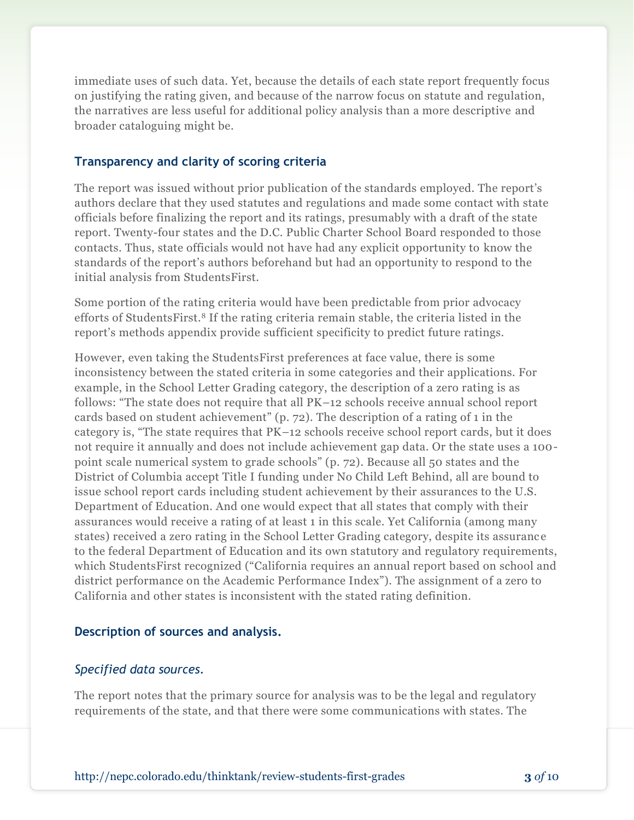immediate uses of such data. Yet, because the details of each state report frequently focus on justifying the rating given, and because of the narrow focus on statute and regulation, the narratives are less useful for additional policy analysis than a more descriptive and broader cataloguing might be.

### **Transparency and clarity of scoring criteria**

The report was issued without prior publication of the standards employed. The report's authors declare that they used statutes and regulations and made some contact with state officials before finalizing the report and its ratings, presumably with a draft of the state report. Twenty-four states and the D.C. Public Charter School Board responded to those contacts. Thus, state officials would not have had any explicit opportunity to know the standards of the report's authors beforehand but had an opportunity to respond to the initial analysis from StudentsFirst.

Some portion of the rating criteria would have been predictable from prior advocacy efforts of StudentsFirst.<sup>8</sup> If the rating criteria remain stable, the criteria listed in the report's methods appendix provide sufficient specificity to predict future ratings.

However, even taking the StudentsFirst preferences at face value, there is some inconsistency between the stated criteria in some categories and their applications. For example, in the School Letter Grading category, the description of a zero rating is as follows: "The state does not require that all PK–12 schools receive annual school report cards based on student achievement" (p. 72). The description of a rating of 1 in the category is, "The state requires that PK–12 schools receive school report cards, but it does not require it annually and does not include achievement gap data. Or the state uses a 100 point scale numerical system to grade schools" (p. 72). Because all 50 states and the District of Columbia accept Title I funding under No Child Left Behind, all are bound to issue school report cards including student achievement by their assurances to the U.S. Department of Education. And one would expect that all states that comply with their assurances would receive a rating of at least 1 in this scale. Yet California (among many states) received a zero rating in the School Letter Grading category, despite its assuranc e to the federal Department of Education and its own statutory and regulatory requirements, which StudentsFirst recognized ("California requires an annual report based on school and district performance on the Academic Performance Index"). The assignment of a zero to California and other states is inconsistent with the stated rating definition.

### **Description of sources and analysis.**

## *Specified data sources.*

The report notes that the primary source for analysis was to be the legal and regulatory requirements of the state, and that there were some communications with states. The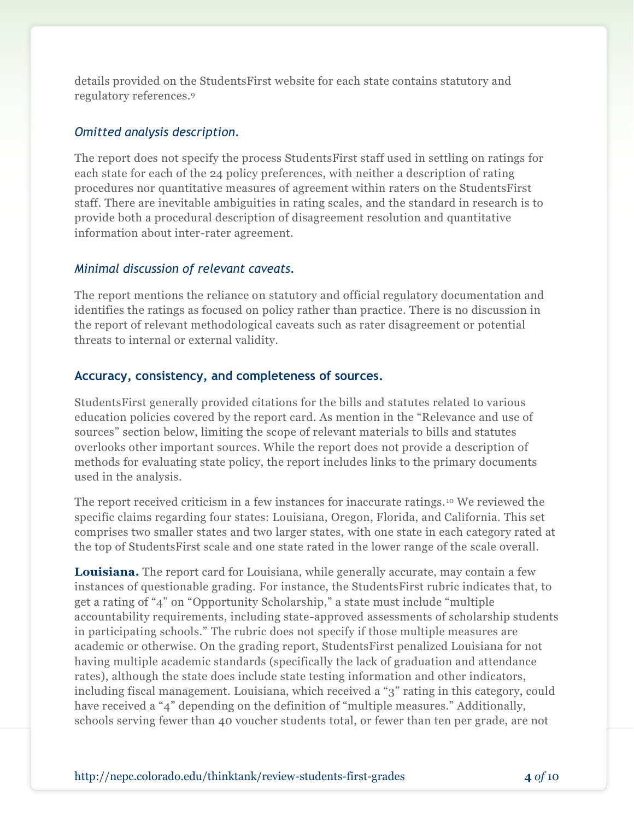details provided on the StudentsFirst website for each state contains statutory and regulatory references.<sup>9</sup>

#### *Omitted analysis description.*

The report does not specify the process StudentsFirst staff used in settling on ratings for each state for each of the 24 policy preferences, with neither a description of rating procedures nor quantitative measures of agreement within raters on the StudentsFirst staff. There are inevitable ambiguities in rating scales, and the standard in research is to provide both a procedural description of disagreement resolution and quantitative information about inter-rater agreement.

#### *Minimal discussion of relevant caveats.*

The report mentions the reliance on statutory and official regulatory documentation and identifies the ratings as focused on policy rather than practice. There is no discussion in the report of relevant methodological caveats such as rater disagreement or potential threats to internal or external validity.

#### **Accuracy, consistency, and completeness of sources.**

StudentsFirst generally provided citations for the bills and statutes related to various education policies covered by the report card. As mention in the "Relevance and use of sources" section below, limiting the scope of relevant materials to bills and statutes overlooks other important sources. While the report does not provide a description of methods for evaluating state policy, the report includes links to the primary documents used in the analysis.

The report received criticism in a few instances for inaccurate ratings. <sup>10</sup> We reviewed the specific claims regarding four states: Louisiana, Oregon, Florida, and California. This set comprises two smaller states and two larger states, with one state in each category rated at the top of StudentsFirst scale and one state rated in the lower range of the scale overall.

**Louisiana.** The report card for Louisiana, while generally accurate, may contain a few instances of questionable grading. For instance, the StudentsFirst rubric indicates that, to get a rating of "4" on "Opportunity Scholarship," a state must include "multiple accountability requirements, including state-approved assessments of scholarship students in participating schools." The rubric does not specify if those multiple measures are academic or otherwise. On the grading report, StudentsFirst penalized Louisiana for not having multiple academic standards (specifically the lack of graduation and attendance rates), although the state does include state testing information and other indicators, including fiscal management. Louisiana, which received a "3" rating in this category, could have received a "4" depending on the definition of "multiple measures." Additionally, schools serving fewer than 40 voucher students total, or fewer than ten per grade, are not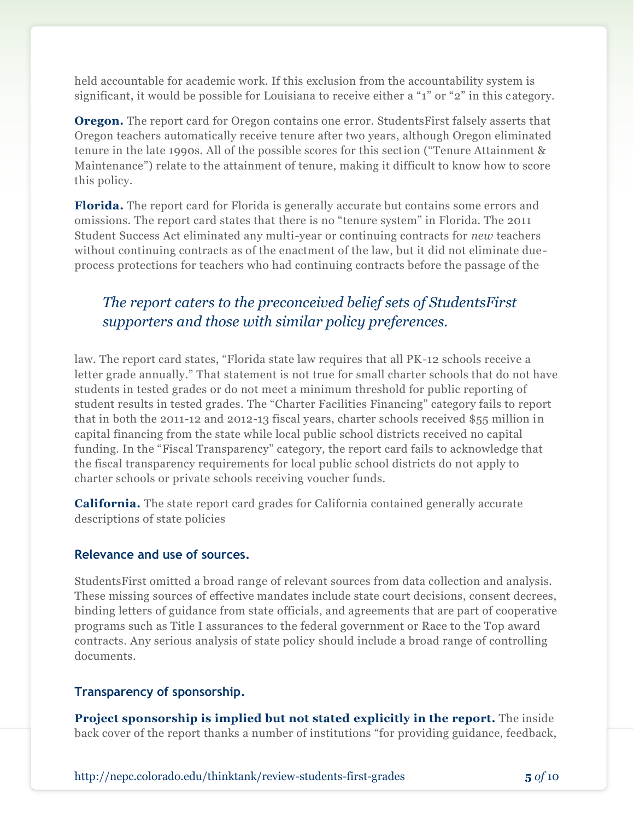held accountable for academic work. If this exclusion from the accountability system is significant, it would be possible for Louisiana to receive either a "1" or "2" in this category.

**Oregon.** The report card for Oregon contains one error. StudentsFirst falsely asserts that Oregon teachers automatically receive tenure after two years, although Oregon eliminated tenure in the late 1990s. All of the possible scores for this section ("Tenure Attainment & Maintenance") relate to the attainment of tenure, making it difficult to know how to score this policy.

**Florida.** The report card for Florida is generally accurate but contains some errors and omissions. The report card states that there is no "tenure system" in Florida. The 2011 Student Success Act eliminated any multi-year or continuing contracts for *new* teachers without continuing contracts as of the enactment of the law, but it did not eliminate dueprocess protections for teachers who had continuing contracts before the passage of the

# *The report caters to the preconceived belief sets of StudentsFirst supporters and those with similar policy preferences.*

law. The report card states, "Florida state law requires that all PK-12 schools receive a letter grade annually." That statement is not true for small charter schools that do not have students in tested grades or do not meet a minimum threshold for public reporting of student results in tested grades. The "Charter Facilities Financing" category fails to report that in both the 2011-12 and 2012-13 fiscal years, charter schools received \$55 million in capital financing from the state while local public school districts received no capital funding. In the "Fiscal Transparency" category, the report card fails to acknowledge that the fiscal transparency requirements for local public school districts do not apply to charter schools or private schools receiving voucher funds.

**California.** The state report card grades for California contained generally accurate descriptions of state policies

#### **Relevance and use of sources.**

StudentsFirst omitted a broad range of relevant sources from data collection and analysis. These missing sources of effective mandates include state court decisions, consent decrees, binding letters of guidance from state officials, and agreements that are part of cooperative programs such as Title I assurances to the federal government or Race to the Top award contracts. Any serious analysis of state policy should include a broad range of controlling documents.

#### **Transparency of sponsorship.**

**Project sponsorship is implied but not stated explicitly in the report.** The inside back cover of the report thanks a number of institutions "for providing guidance, feedback,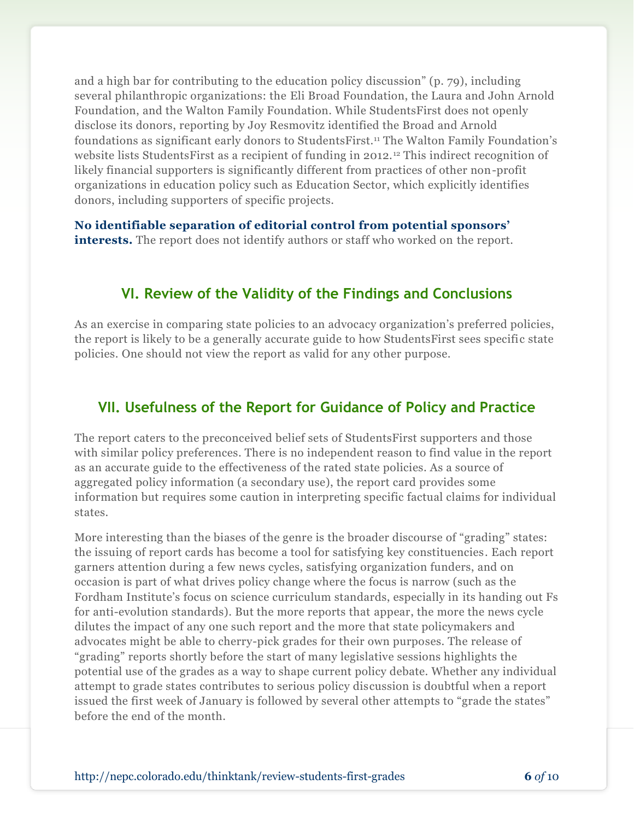and a high bar for contributing to the education policy discussion" (p. 79), including several philanthropic organizations: the Eli Broad Foundation, the Laura and John Arnold Foundation, and the Walton Family Foundation. While StudentsFirst does not openly disclose its donors, reporting by Joy Resmovitz identified the Broad and Arnold foundations as significant early donors to StudentsFirst.<sup>11</sup> The Walton Family Foundation's website lists StudentsFirst as a recipient of funding in 2012. <sup>12</sup> This indirect recognition of likely financial supporters is significantly different from practices of other non-profit organizations in education policy such as Education Sector, which explicitly identifies donors, including supporters of specific projects.

**No identifiable separation of editorial control from potential sponsors' interests.** The report does not identify authors or staff who worked on the report.

# **VI. Review of the Validity of the Findings and Conclusions**

As an exercise in comparing state policies to an advocacy organization's preferred policies, the report is likely to be a generally accurate guide to how StudentsFirst sees specific state policies. One should not view the report as valid for any other purpose.

# **VII. Usefulness of the Report for Guidance of Policy and Practice**

The report caters to the preconceived belief sets of StudentsFirst supporters and those with similar policy preferences. There is no independent reason to find value in the report as an accurate guide to the effectiveness of the rated state policies. As a source of aggregated policy information (a secondary use), the report card provides some information but requires some caution in interpreting specific factual claims for individual states.

More interesting than the biases of the genre is the broader discourse of "grading" states: the issuing of report cards has become a tool for satisfying key constituencies. Each report garners attention during a few news cycles, satisfying organization funders, and on occasion is part of what drives policy change where the focus is narrow (such as the Fordham Institute's focus on science curriculum standards, especially in its handing out Fs for anti-evolution standards). But the more reports that appear, the more the news cycle dilutes the impact of any one such report and the more that state policymakers and advocates might be able to cherry-pick grades for their own purposes. The release of "grading" reports shortly before the start of many legislative sessions highlights the potential use of the grades as a way to shape current policy debate. Whether any individual attempt to grade states contributes to serious policy discussion is doubtful when a report issued the first week of January is followed by several other attempts to "grade the states" before the end of the month.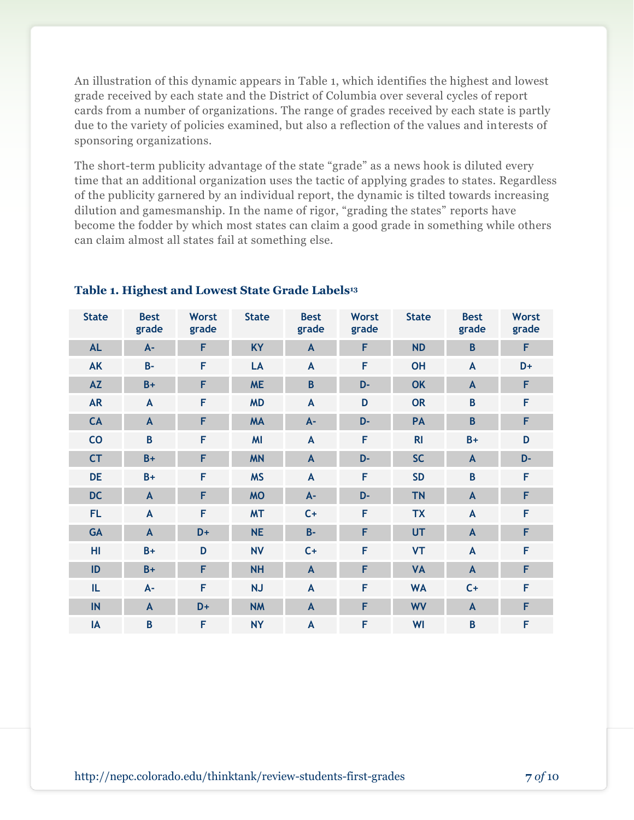An illustration of this dynamic appears in Table 1, which identifies the highest and lowest grade received by each state and the District of Columbia over several cycles of report cards from a number of organizations. The range of grades received by each state is partly due to the variety of policies examined, but also a reflection of the values and interests of sponsoring organizations.

The short-term publicity advantage of the state "grade" as a news hook is diluted every time that an additional organization uses the tactic of applying grades to states. Regardless of the publicity garnered by an individual report, the dynamic is tilted towards increasing dilution and gamesmanship. In the name of rigor, "grading the states" reports have become the fodder by which most states can claim a good grade in something while others can claim almost all states fail at something else.

| <b>State</b> | <b>Best</b><br>grade | <b>Worst</b><br>grade | <b>State</b> | <b>Best</b><br>grade | <b>Worst</b><br>grade | <b>State</b>   | <b>Best</b><br>grade | <b>Worst</b><br>grade |
|--------------|----------------------|-----------------------|--------------|----------------------|-----------------------|----------------|----------------------|-----------------------|
| <b>AL</b>    | $A -$                | F                     | <b>KY</b>    | $\mathsf{A}$         | F                     | <b>ND</b>      | $\mathbf B$          | F                     |
| <b>AK</b>    | $B -$                | F                     | LA           | $\mathsf{A}$         | F                     | <b>OH</b>      | A                    | D+                    |
| <b>AZ</b>    | $B+$                 | F                     | <b>ME</b>    | $\overline{B}$       | D-                    | <b>OK</b>      | $\mathbf{A}$         | F                     |
| <b>AR</b>    | $\mathsf{A}$         | F                     | <b>MD</b>    | $\mathsf{A}$         | D                     | <b>OR</b>      | $\mathsf B$          | F                     |
| CA           | $\mathbf{A}$         | F                     | <b>MA</b>    | $A -$                | D-                    | PA             | B                    | F                     |
| CO           | B                    | F                     | <b>MI</b>    | $\mathbf{A}$         | F                     | R <sub>l</sub> | $B+$                 | D                     |
| <b>CT</b>    | $B+$                 | F                     | <b>MN</b>    | $\mathbf{A}$         | D-                    | <b>SC</b>      | $\mathbf{A}$         | D-                    |
| <b>DE</b>    | $B+$                 | F                     | <b>MS</b>    | $\mathbf{A}$         | F                     | <b>SD</b>      | B                    | F                     |
| <b>DC</b>    | $\mathsf{A}$         | F                     | <b>MO</b>    | $A -$                | D-                    | <b>TN</b>      | $\overline{A}$       | F                     |
| <b>FL</b>    | $\mathsf{A}$         | F                     | <b>MT</b>    | $C+$                 | F                     | <b>TX</b>      | A                    | F                     |
| <b>GA</b>    | $\mathsf{A}$         | D+                    | <b>NE</b>    | $B -$                | F                     | <b>UT</b>      | $\mathbf{A}$         | F                     |
| HI           | $B+$                 | D                     | <b>NV</b>    | $C +$                | F                     | <b>VT</b>      | A                    | F                     |
| ID           | $B+$                 | F                     | <b>NH</b>    | $\mathsf{A}$         | F                     | <b>VA</b>      | $\mathsf{A}$         | F                     |
| IL.          | $A -$                | F                     | <b>NJ</b>    | $\mathsf{A}$         | F                     | <b>WA</b>      | $C +$                | F                     |
| IN           | $\mathbf{A}$         | D+                    | <b>NM</b>    | $\mathsf{A}$         | F                     | <b>WV</b>      | $\mathbf{A}$         | F                     |
| IA           | $\overline{B}$       | F                     | <b>NY</b>    | $\mathbf{A}$         | F                     | WI             | $\mathbf B$          | F                     |

#### **Table 1. Highest and Lowest State Grade Labels<sup>13</sup>**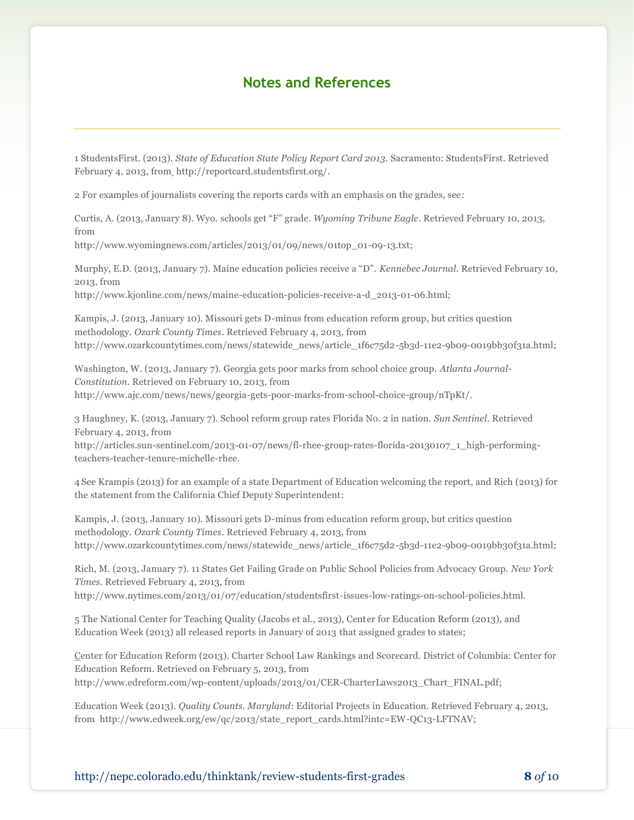# **Notes and References**

1 StudentsFirst. (2013). *State of Education State Policy Report Card 2013*. Sacramento: StudentsFirst. Retrieved February 4, 2013, fro[m](http://reportcard.studentsfirst.org/) http://reportcard.studentsfirst.org/.

2 For examples of journalists covering the reports cards with an emphasis on the grades, see:

Curtis, A. (2013, January 8). Wyo. schools get "F" grade. *Wyoming Tribune Eagle*. Retrieved February 10, 2013, from

http://www.wyomingnews.com/articles/2013/01/09/news/01top\_01-09-13.txt;

Murphy, E.D. (2013, January 7). Maine education policies receive a "D". *Kennebec Journal*. Retrieved February 10, 2013, from

http://www.kjonline.com/news/maine-education-policies-receive-a-d\_2013-01-06.html;

Kampis, J. (2013, January 10). Missouri gets D-minus from education reform group, but critics question methodology. *Ozark County Times*. Retrieved February 4, 2013, from http://www.ozarkcountytimes.com/news/statewide\_news/article\_1f6c75d2-5b3d-11e2-9b09-0019bb30f31a.html;

Washington, W. (2013, January 7). Georgia gets poor marks from school choice group. *Atlanta Journal-Constitution*. Retrieved on February 10, 2013, from http://www.ajc.com/news/news/georgia-gets-poor-marks-from-school-choice-group/nTpKt/.

3 Haughney, K. (2013, January 7). School reform group rates Florida No. 2 in nation. *Sun Sentinel*. Retrieved February 4, 2013, from

http://articles.sun-sentinel.com/2013-01-07/news/fl-rhee-group-rates-florida-20130107\_1\_high-performingteachers-teacher-tenure-michelle-rhee.

4 See Krampis (2013) for an example of a state Department of Education welcoming the report, and Rich (2013) for the statement from the California Chief Deputy Superintendent:

Kampis, J. (2013, January 10). Missouri gets D-minus from education reform group, but critics question methodology. *Ozark County Times*. Retrieved February 4, 2013, from http://www.ozarkcountytimes.com/news/statewide\_news/article\_1f6c75d2-5b3d-11e2-9b09-0019bb30f31a.html;

Rich, M. (2013, January 7). 11 States Get Failing Grade on Public School Policies from Advocacy Group. *New York Times*. Retrieved February 4, 2013, fro[m](http://www.nytimes.com/2013/01/07/education/studentsfirst-issues-low-ratings-on-school-policies.html?_r=0)

http://www.nytimes.com/2013/01/07/education/studentsfirst-issues-low-ratings-on-school-policies.html.

5 The National Center for Teaching Quality (Jacobs et al., 2013), Center for Education Reform (2013), and Education Week (2013) all released reports in January of 2013 that assigned grades to states;

[Ce](http://www.edreform.com/wp-content/uploads/2013/01/CER-CharterLaws2013_Chart_FINAL.pdf)nter for Education Reform (2013). Charter School Law Rankings and Scorecard. District of Columbia: Center for Education Reform. Retrieved on February 5, 2013, from http://www.edreform.com/wp-content/uploads/2013/01/CER-CharterLaws2013\_Chart\_FINAL.pdf;

Education Week (2013). *Quality Counts. Maryland*: Editorial Projects in Education. Retrieved February 4, 2013, from http://www.edweek.org/ew/qc/2013/state\_report\_cards.html?intc=EW-QC13-LFTNAV;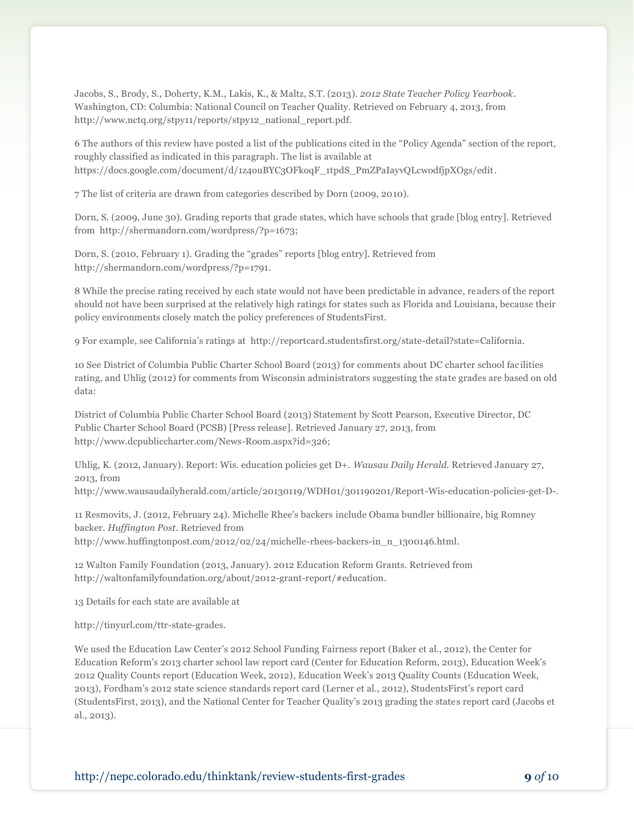Jacobs, S., Brody, S., Doherty, K.M., Lakis, K., & Maltz, S.T. (2013). *2012 State Teacher Policy Yearbook*. Washington, CD: Columbia: National Council on Teacher Quality. Retrieved on February 4, 2013, from http://www.nctq.org/stpy11/reports/stpy12\_national\_report.pdf.

6 The authors of this review have posted a list of the publications cited in the "Policy Agenda" section of the report, roughly classified as indicated in this paragraph. The list is available at https://docs.google.com/document/d/1z4ouBYC3OFkoqF\_1tpdS\_PmZPaIayvQLcwodfjpXOgs/edit.

7 The list of criteria are drawn from categories described by Dorn (2009, 2010).

Dorn, S. (2009, June 30). Grading reports that grade states, which have schools that grade [blog entry]. Retrieved from http://shermandorn.com/wordpress/?p=1673;

Dorn, S. (2010, February 1). Grading the "grades" reports [blog entry]. Retrieved from http://shermandorn.com/wordpress/?p=1791.

8 While the precise rating received by each state would not have been predictable in advance, readers of the report should not have been surprised at the relatively high ratings for states such as Florida and Louisiana, because their policy environments closely match the policy preferences of StudentsFirst.

9 For example, see California's ratings at http://reportcard.studentsfirst.org/state-detail?state=California.

10 See District of Columbia Public Charter School Board (2013) for comments about DC charter school fac ilities rating, and Uhlig (2012) for comments from Wisconsin administrators suggesting the state grades are based on old data:

District of Columbia Public Charter School Board (2013) Statement by Scott Pearson, Executive Director, DC Public Charter School Board (PCSB) [Press release]. Retrieved January 27, 2013, from http://www.dcpubliccharter.com/News-Room.aspx?id=326;

Uhlig, K. (2012, January). Report: Wis. education policies get D+. *Wausau Daily Herald.* Retrieved January 27, 2013, from

http://www.wausaudailyherald.com/article/20130119/WDH01/301190201/Report-Wis-education-policies-get-D-.

11 Resmovits, J. (2012, February 24). Michelle Rhee's backers include Obama bundler billionaire, big Romney backer. *Huffington Post*. Retrieved from http://www.huffingtonpost.com/2012/02/24/michelle-rhees-backers-in\_n\_1300146.html.

12 Walton Family Foundation (2013, January). 2012 Education Reform Grants. Retrieved from http://waltonfamilyfoundation.org/about/2012-grant-report/#education.

13 Details for each state are available at

http://tinyurl.com/ttr-state-grades.

We used the Education Law Center's 2012 School Funding Fairness report (Baker et al., 2012), the Center for Education Reform's 2013 charter school law report card (Center for Education Reform, 2013), Education Week's 2012 Quality Counts report (Education Week, 2012), Education Week's 2013 Quality Counts (Education Week, 2013), Fordham's 2012 state science standards report card (Lerner et al., 2012), StudentsFirst's report card (StudentsFirst, 2013), and the National Center for Teacher Quality's 2013 grading the states report card (Jacobs et al., 2013).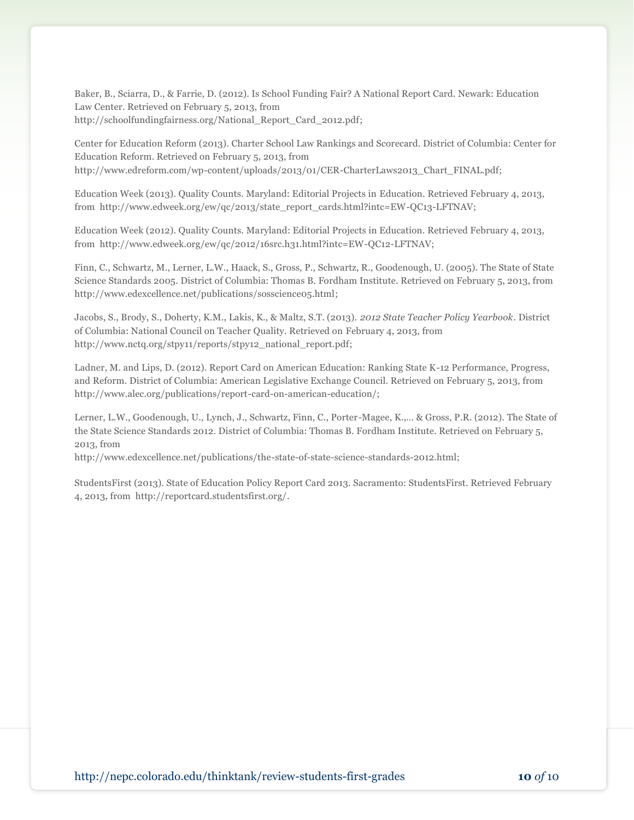Baker, B., Sciarra, D., & Farrie, D. (2012). Is School Funding Fair? A National Report Card. Newark: Education Law Center. Retrieved on February 5, 2013, from http://schoolfundingfairness.org/National\_Report\_Card\_2012.pdf;

Center for Education Reform (2013). Charter School Law Rankings and Scorecard. District of Columbia: Center for Education Reform. Retrieved on February 5, 2013, from http://www.edreform.com/wp-content/uploads/2013/01/CER-CharterLaws2013\_Chart\_FINAL.pdf;

Education Week (2013). Quality Counts. Maryland: Editorial Projects in Education. Retrieved February 4, 2013, from http://www.edweek.org/ew/qc/2013/state\_report\_cards.html?intc=EW-QC13-LFTNAV;

Education Week (2012). Quality Counts. Maryland: Editorial Projects in Education. Retrieved February 4, 2013, from http://www.edweek.org/ew/qc/2012/16src.h31.html?intc=EW-QC12-LFTNAV;

Finn, C., Schwartz, M., Lerner, L.W., Haack, S., Gross, P., Schwartz, R., Goodenough, U. (2005). The State of State Science Standards 2005. District of Columbia: Thomas B. Fordham Institute. Retrieved on February 5, 2013, from http://www.edexcellence.net/publications/sosscience05.html;

Jacobs, S., Brody, S., Doherty, K.M., Lakis, K., & Maltz, S.T. (2013). *2012 State Teacher Policy Yearbook*. District of Columbia: National Council on Teacher Quality. Retrieved on February 4, 2013, from http://www.nctq.org/stpy11/reports/stpy12\_national\_report.pdf;

Ladner, M. and Lips, D. (2012). Report Card on American Education: Ranking State K-12 Performance, Progress, and Reform. District of Columbia: American Legislative Exchange Council. Retrieved on February 5, 2013, from http://www.alec.org/publications/report-card-on-american-education/;

Lerner, L.W., Goodenough, U., Lynch, J., Schwartz, Finn, C., Porter-Magee, K.,… & Gross, P.R. (2012). The State of the State Science Standards 2012. District of Columbia: Thomas B. Fordham Institute. Retrieved on February 5, 2013, from

http://www.edexcellence.net/publications/the-state-of-state-science-standards-2012.html;

StudentsFirst (2013). State of Education Policy Report Card 2013. Sacramento: StudentsFirst. Retrieved February 4, 2013, from http://reportcard.studentsfirst.org/.